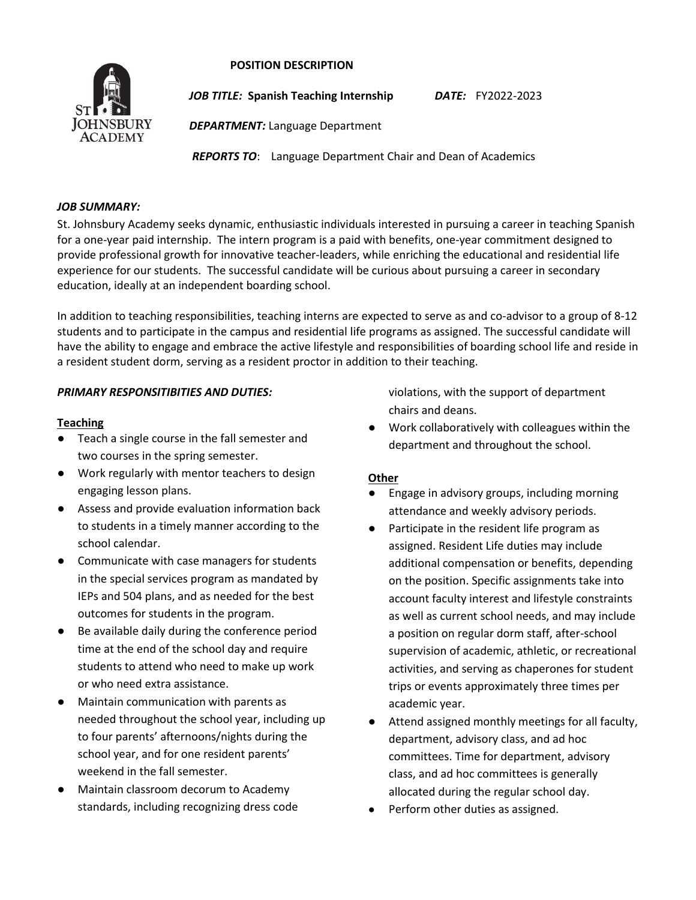# **POSITION DESCRIPTION**



*JOB TITLE:* **Spanish Teaching Internship** *DATE:* FY2022-2023

*DEPARTMENT:* Language Department

*REPORTS TO*: Language Department Chair and Dean of Academics

#### *JOB SUMMARY:*

St. Johnsbury Academy seeks dynamic, enthusiastic individuals interested in pursuing a career in teaching Spanish for a one-year paid internship. The intern program is a paid with benefits, one-year commitment designed to provide professional growth for innovative teacher-leaders, while enriching the educational and residential life experience for our students. The successful candidate will be curious about pursuing a career in secondary education, ideally at an independent boarding school.

In addition to teaching responsibilities, teaching interns are expected to serve as and co-advisor to a group of 8-12 students and to participate in the campus and residential life programs as assigned. The successful candidate will have the ability to engage and embrace the active lifestyle and responsibilities of boarding school life and reside in a resident student dorm, serving as a resident proctor in addition to their teaching.

# *PRIMARY RESPONSITIBITIES AND DUTIES:*

#### **Teaching**

- Teach a single course in the fall semester and two courses in the spring semester.
- Work regularly with mentor teachers to design engaging lesson plans.
- Assess and provide evaluation information back to students in a timely manner according to the school calendar.
- Communicate with case managers for students in the special services program as mandated by IEPs and 504 plans, and as needed for the best outcomes for students in the program.
- Be available daily during the conference period time at the end of the school day and require students to attend who need to make up work or who need extra assistance.
- **Maintain communication with parents as** needed throughout the school year, including up to four parents' afternoons/nights during the school year, and for one resident parents' weekend in the fall semester.
- Maintain classroom decorum to Academy standards, including recognizing dress code

violations, with the support of department chairs and deans.

● Work collaboratively with colleagues within the department and throughout the school.

# **Other**

- Engage in advisory groups, including morning attendance and weekly advisory periods.
- Participate in the resident life program as assigned. Resident Life duties may include additional compensation or benefits, depending on the position. Specific assignments take into account faculty interest and lifestyle constraints as well as current school needs, and may include a position on regular dorm staff, after-school supervision of academic, athletic, or recreational activities, and serving as chaperones for student trips or events approximately three times per academic year.
- Attend assigned monthly meetings for all faculty, department, advisory class, and ad hoc committees. Time for department, advisory class, and ad hoc committees is generally allocated during the regular school day.
- Perform other duties as assigned.